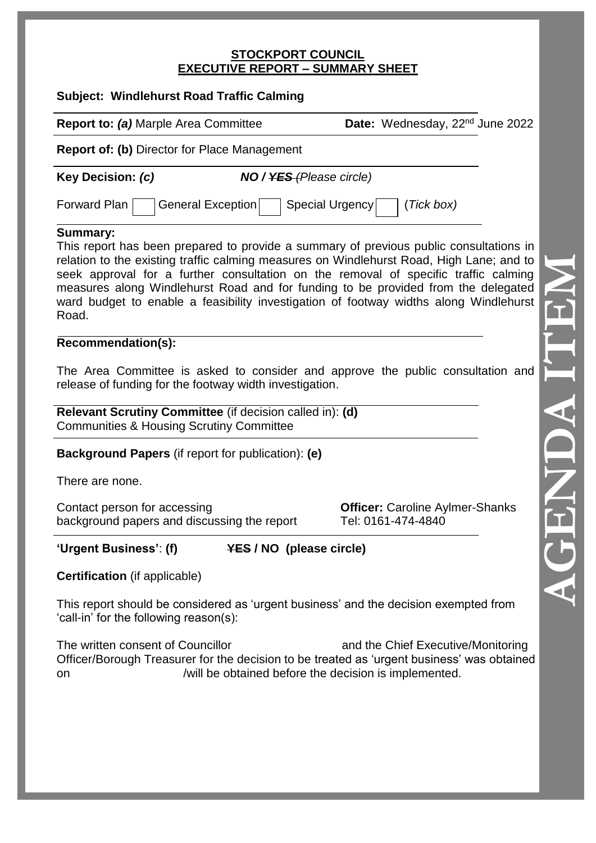#### **STOCKPORT COUNCIL EXECUTIVE REPORT – SUMMARY SHEET**

| <b>Subject: Windlehurst Road Traffic Calming</b>                                                                                                                                                                                                                                                                                                                                                                                                                                    |                                                              |  |  |  |
|-------------------------------------------------------------------------------------------------------------------------------------------------------------------------------------------------------------------------------------------------------------------------------------------------------------------------------------------------------------------------------------------------------------------------------------------------------------------------------------|--------------------------------------------------------------|--|--|--|
| <b>Report to: (a) Marple Area Committee</b>                                                                                                                                                                                                                                                                                                                                                                                                                                         | Date: Wednesday, 22 <sup>nd</sup> June 2022                  |  |  |  |
| <b>Report of: (b)</b> Director for Place Management                                                                                                                                                                                                                                                                                                                                                                                                                                 |                                                              |  |  |  |
| <b>Key Decision: (c)</b><br><b>NO</b> / YES (Please circle)                                                                                                                                                                                                                                                                                                                                                                                                                         |                                                              |  |  |  |
| Forward Plan<br>General Exception<br>Special Urgency                                                                                                                                                                                                                                                                                                                                                                                                                                | (Tick box)                                                   |  |  |  |
| <b>Summary:</b><br>This report has been prepared to provide a summary of previous public consultations in<br>relation to the existing traffic calming measures on Windlehurst Road, High Lane; and to<br>seek approval for a further consultation on the removal of specific traffic calming<br>measures along Windlehurst Road and for funding to be provided from the delegated<br>ward budget to enable a feasibility investigation of footway widths along Windlehurst<br>Road. |                                                              |  |  |  |
| Recommendation(s):                                                                                                                                                                                                                                                                                                                                                                                                                                                                  |                                                              |  |  |  |
| The Area Committee is asked to consider and approve the public consultation and<br>release of funding for the footway width investigation.                                                                                                                                                                                                                                                                                                                                          |                                                              |  |  |  |
| Relevant Scrutiny Committee (if decision called in): (d)<br><b>Communities &amp; Housing Scrutiny Committee</b>                                                                                                                                                                                                                                                                                                                                                                     |                                                              |  |  |  |
| <b>Background Papers</b> (if report for publication): (e)                                                                                                                                                                                                                                                                                                                                                                                                                           |                                                              |  |  |  |
| There are none.                                                                                                                                                                                                                                                                                                                                                                                                                                                                     |                                                              |  |  |  |
| Contact person for accessing<br>background papers and discussing the report                                                                                                                                                                                                                                                                                                                                                                                                         | <b>Officer: Caroline Aylmer-Shanks</b><br>Tel: 0161-474-4840 |  |  |  |
| 'Urgent Business': (f)<br><b>YES / NO (please circle)</b>                                                                                                                                                                                                                                                                                                                                                                                                                           |                                                              |  |  |  |
| <b>Certification</b> (if applicable)                                                                                                                                                                                                                                                                                                                                                                                                                                                |                                                              |  |  |  |
| This report should be considered as 'urgent business' and the decision exempted from<br>'call-in' for the following reason(s):                                                                                                                                                                                                                                                                                                                                                      |                                                              |  |  |  |
| The written consent of Councillor<br>Officer/Borough Treasurer for the decision to be treated as 'urgent business' was obtained<br>/will be obtained before the decision is implemented.<br>on                                                                                                                                                                                                                                                                                      | and the Chief Executive/Monitoring                           |  |  |  |
|                                                                                                                                                                                                                                                                                                                                                                                                                                                                                     |                                                              |  |  |  |
|                                                                                                                                                                                                                                                                                                                                                                                                                                                                                     |                                                              |  |  |  |
|                                                                                                                                                                                                                                                                                                                                                                                                                                                                                     |                                                              |  |  |  |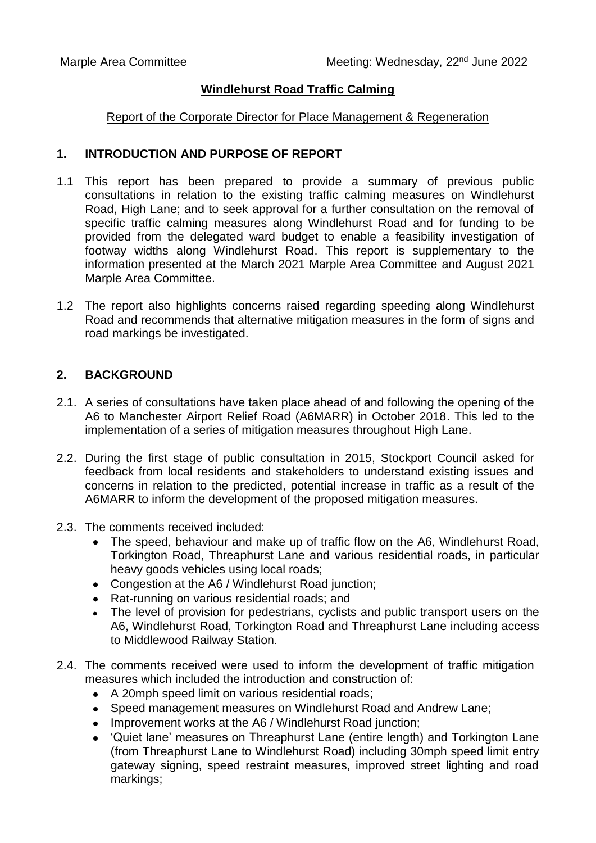### **Windlehurst Road Traffic Calming**

#### Report of the Corporate Director for Place Management & Regeneration

### **1. INTRODUCTION AND PURPOSE OF REPORT**

- 1.1 This report has been prepared to provide a summary of previous public consultations in relation to the existing traffic calming measures on Windlehurst Road, High Lane; and to seek approval for a further consultation on the removal of specific traffic calming measures along Windlehurst Road and for funding to be provided from the delegated ward budget to enable a feasibility investigation of footway widths along Windlehurst Road. This report is supplementary to the information presented at the March 2021 Marple Area Committee and August 2021 Marple Area Committee.
- 1.2 The report also highlights concerns raised regarding speeding along Windlehurst Road and recommends that alternative mitigation measures in the form of signs and road markings be investigated.

### **2. BACKGROUND**

- 2.1. A series of consultations have taken place ahead of and following the opening of the A6 to Manchester Airport Relief Road (A6MARR) in October 2018. This led to the implementation of a series of mitigation measures throughout High Lane.
- 2.2. During the first stage of public consultation in 2015, Stockport Council asked for feedback from local residents and stakeholders to understand existing issues and concerns in relation to the predicted, potential increase in traffic as a result of the A6MARR to inform the development of the proposed mitigation measures.
- 2.3. The comments received included:
	- The speed, behaviour and make up of traffic flow on the A6, Windlehurst Road, Torkington Road, Threaphurst Lane and various residential roads, in particular heavy goods vehicles using local roads;
	- Congestion at the A6 / Windlehurst Road junction;
	- Rat-running on various residential roads: and
	- The level of provision for pedestrians, cyclists and public transport users on the A6, Windlehurst Road, Torkington Road and Threaphurst Lane including access to Middlewood Railway Station.
- 2.4. The comments received were used to inform the development of traffic mitigation measures which included the introduction and construction of:
	- A 20mph speed limit on various residential roads;
	- Speed management measures on Windlehurst Road and Andrew Lane:
	- Improvement works at the A6 / Windlehurst Road junction;
	- 'Quiet lane' measures on Threaphurst Lane (entire length) and Torkington Lane (from Threaphurst Lane to Windlehurst Road) including 30mph speed limit entry gateway signing, speed restraint measures, improved street lighting and road markings;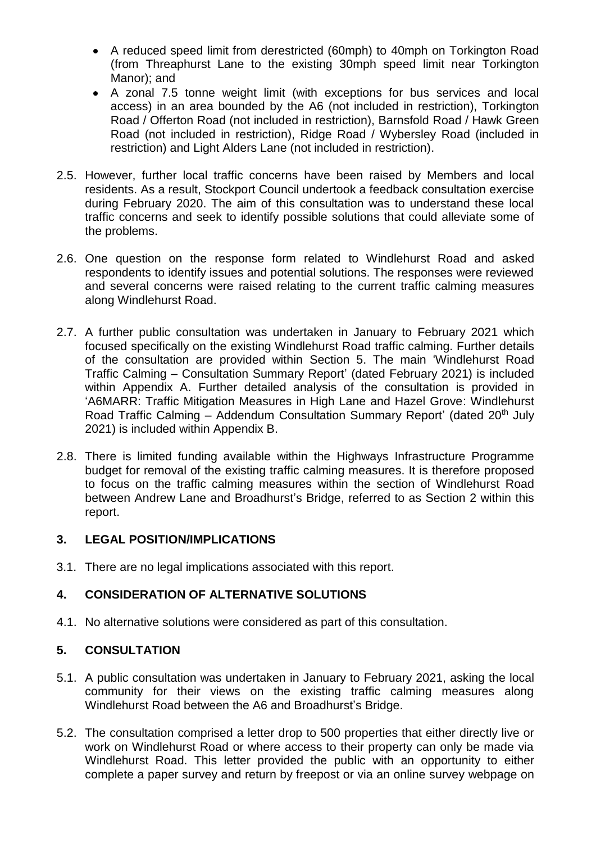- A reduced speed limit from derestricted (60mph) to 40mph on Torkington Road (from Threaphurst Lane to the existing 30mph speed limit near Torkington Manor); and
- A zonal 7.5 tonne weight limit (with exceptions for bus services and local access) in an area bounded by the A6 (not included in restriction), Torkington Road / Offerton Road (not included in restriction), Barnsfold Road / Hawk Green Road (not included in restriction), Ridge Road / Wybersley Road (included in restriction) and Light Alders Lane (not included in restriction).
- 2.5. However, further local traffic concerns have been raised by Members and local residents. As a result, Stockport Council undertook a feedback consultation exercise during February 2020. The aim of this consultation was to understand these local traffic concerns and seek to identify possible solutions that could alleviate some of the problems.
- 2.6. One question on the response form related to Windlehurst Road and asked respondents to identify issues and potential solutions. The responses were reviewed and several concerns were raised relating to the current traffic calming measures along Windlehurst Road.
- 2.7. A further public consultation was undertaken in January to February 2021 which focused specifically on the existing Windlehurst Road traffic calming. Further details of the consultation are provided within Section 5. The main 'Windlehurst Road Traffic Calming – Consultation Summary Report' (dated February 2021) is included within Appendix A. Further detailed analysis of the consultation is provided in 'A6MARR: Traffic Mitigation Measures in High Lane and Hazel Grove: Windlehurst Road Traffic Calming – Addendum Consultation Summary Report' (dated  $20<sup>th</sup>$  July 2021) is included within Appendix B.
- 2.8. There is limited funding available within the Highways Infrastructure Programme budget for removal of the existing traffic calming measures. It is therefore proposed to focus on the traffic calming measures within the section of Windlehurst Road between Andrew Lane and Broadhurst's Bridge, referred to as Section 2 within this report.

# **3. LEGAL POSITION/IMPLICATIONS**

3.1. There are no legal implications associated with this report.

# **4. CONSIDERATION OF ALTERNATIVE SOLUTIONS**

4.1. No alternative solutions were considered as part of this consultation.

# **5. CONSULTATION**

- 5.1. A public consultation was undertaken in January to February 2021, asking the local community for their views on the existing traffic calming measures along Windlehurst Road between the A6 and Broadhurst's Bridge.
- 5.2. The consultation comprised a letter drop to 500 properties that either directly live or work on Windlehurst Road or where access to their property can only be made via Windlehurst Road. This letter provided the public with an opportunity to either complete a paper survey and return by freepost or via an online survey webpage on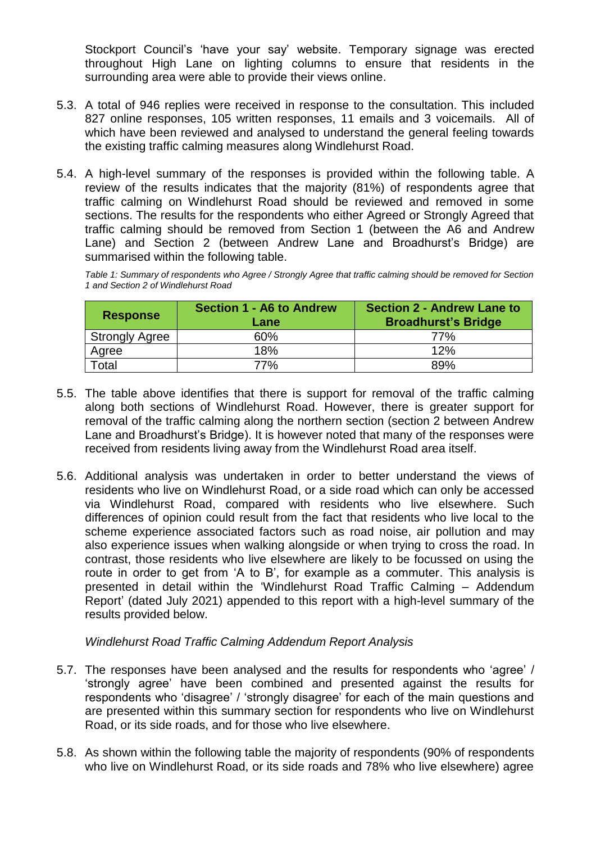Stockport Council's 'have your say' website. Temporary signage was erected throughout High Lane on lighting columns to ensure that residents in the surrounding area were able to provide their views online.

- 5.3. A total of 946 replies were received in response to the consultation. This included 827 online responses, 105 written responses, 11 emails and 3 voicemails. All of which have been reviewed and analysed to understand the general feeling towards the existing traffic calming measures along Windlehurst Road.
- 5.4. A high-level summary of the responses is provided within the following table. A review of the results indicates that the majority (81%) of respondents agree that traffic calming on Windlehurst Road should be reviewed and removed in some sections. The results for the respondents who either Agreed or Strongly Agreed that traffic calming should be removed from Section 1 (between the A6 and Andrew Lane) and Section 2 (between Andrew Lane and Broadhurst's Bridge) are summarised within the following table.

*Table 1: Summary of respondents who Agree / Strongly Agree that traffic calming should be removed for Section 1 and Section 2 of Windlehurst Road*

| <b>Response</b>       | Section 1 - A6 to Andrew<br>Lane | <b>Section 2 - Andrew Lane to</b><br><b>Broadhurst's Bridge</b> |
|-----------------------|----------------------------------|-----------------------------------------------------------------|
| <b>Strongly Agree</b> | 60%                              | 77%                                                             |
| Agree                 | 18%                              | 12%                                                             |
| Total                 | 77%                              | 89%                                                             |

- 5.5. The table above identifies that there is support for removal of the traffic calming along both sections of Windlehurst Road. However, there is greater support for removal of the traffic calming along the northern section (section 2 between Andrew Lane and Broadhurst's Bridge). It is however noted that many of the responses were received from residents living away from the Windlehurst Road area itself.
- 5.6. Additional analysis was undertaken in order to better understand the views of residents who live on Windlehurst Road, or a side road which can only be accessed via Windlehurst Road, compared with residents who live elsewhere. Such differences of opinion could result from the fact that residents who live local to the scheme experience associated factors such as road noise, air pollution and may also experience issues when walking alongside or when trying to cross the road. In contrast, those residents who live elsewhere are likely to be focussed on using the route in order to get from 'A to B', for example as a commuter. This analysis is presented in detail within the 'Windlehurst Road Traffic Calming – Addendum Report' (dated July 2021) appended to this report with a high-level summary of the results provided below.

### *Windlehurst Road Traffic Calming Addendum Report Analysis*

- 5.7. The responses have been analysed and the results for respondents who 'agree' / 'strongly agree' have been combined and presented against the results for respondents who 'disagree' / 'strongly disagree' for each of the main questions and are presented within this summary section for respondents who live on Windlehurst Road, or its side roads, and for those who live elsewhere.
- 5.8. As shown within the following table the majority of respondents (90% of respondents who live on Windlehurst Road, or its side roads and 78% who live elsewhere) agree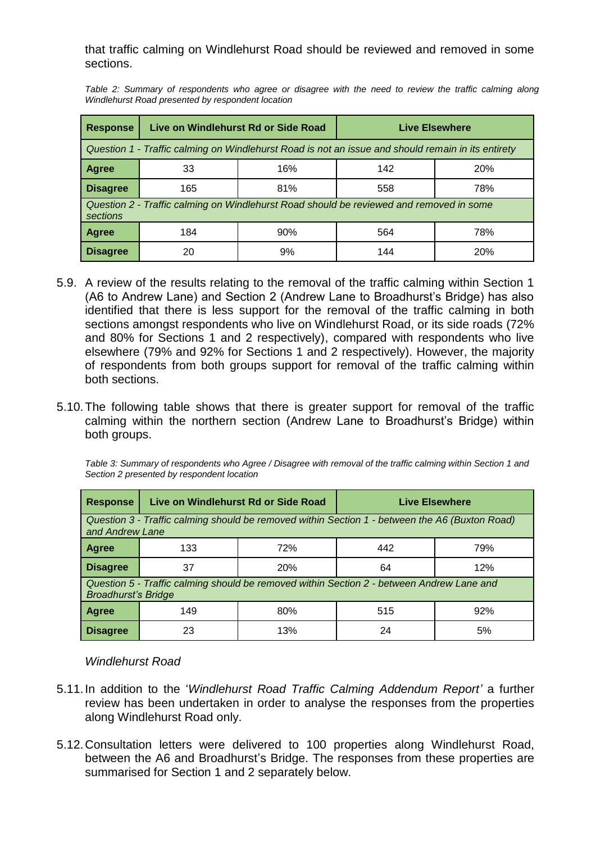that traffic calming on Windlehurst Road should be reviewed and removed in some sections.

*Table 2: Summary of respondents who agree or disagree with the need to review the traffic calming along Windlehurst Road presented by respondent location*

| <b>Response</b>                                                                                     | Live on Windlehurst Rd or Side Road |     | <b>Live Elsewhere</b> |     |  |
|-----------------------------------------------------------------------------------------------------|-------------------------------------|-----|-----------------------|-----|--|
| Question 1 - Traffic calming on Windlehurst Road is not an issue and should remain in its entirety  |                                     |     |                       |     |  |
| <b>Agree</b>                                                                                        | 33                                  | 16% | 142                   | 20% |  |
| <b>Disagree</b>                                                                                     | 165                                 | 81% | 558                   | 78% |  |
| Question 2 - Traffic calming on Windlehurst Road should be reviewed and removed in some<br>sections |                                     |     |                       |     |  |
| <b>Agree</b>                                                                                        | 184                                 | 90% | 564                   | 78% |  |
| <b>Disagree</b>                                                                                     | 20                                  | 9%  | 144                   | 20% |  |

- 5.9. A review of the results relating to the removal of the traffic calming within Section 1 (A6 to Andrew Lane) and Section 2 (Andrew Lane to Broadhurst's Bridge) has also identified that there is less support for the removal of the traffic calming in both sections amongst respondents who live on Windlehurst Road, or its side roads (72% and 80% for Sections 1 and 2 respectively), compared with respondents who live elsewhere (79% and 92% for Sections 1 and 2 respectively). However, the majority of respondents from both groups support for removal of the traffic calming within both sections.
- 5.10.The following table shows that there is greater support for removal of the traffic calming within the northern section (Andrew Lane to Broadhurst's Bridge) within both groups.

*Table 3: Summary of respondents who Agree / Disagree with removal of the traffic calming within Section 1 and Section 2 presented by respondent location*

| <b>Response</b>                                                                                                         | Live on Windlehurst Rd or Side Road |     | <b>Live Elsewhere</b> |     |  |
|-------------------------------------------------------------------------------------------------------------------------|-------------------------------------|-----|-----------------------|-----|--|
| Question 3 - Traffic calming should be removed within Section 1 - between the A6 (Buxton Road)<br>and Andrew Lane       |                                     |     |                       |     |  |
| Agree                                                                                                                   | 133                                 | 72% | 442                   | 79% |  |
| <b>Disagree</b>                                                                                                         | 37                                  | 20% | 64                    | 12% |  |
| Question 5 - Traffic calming should be removed within Section 2 - between Andrew Lane and<br><b>Broadhurst's Bridge</b> |                                     |     |                       |     |  |
| <b>Agree</b>                                                                                                            | 149                                 | 80% | 515                   | 92% |  |
| <b>Disagree</b>                                                                                                         | 23                                  | 13% | 24                    | 5%  |  |

### *Windlehurst Road*

- 5.11.In addition to the '*Windlehurst Road Traffic Calming Addendum Report'* a further review has been undertaken in order to analyse the responses from the properties along Windlehurst Road only.
- 5.12.Consultation letters were delivered to 100 properties along Windlehurst Road, between the A6 and Broadhurst's Bridge. The responses from these properties are summarised for Section 1 and 2 separately below.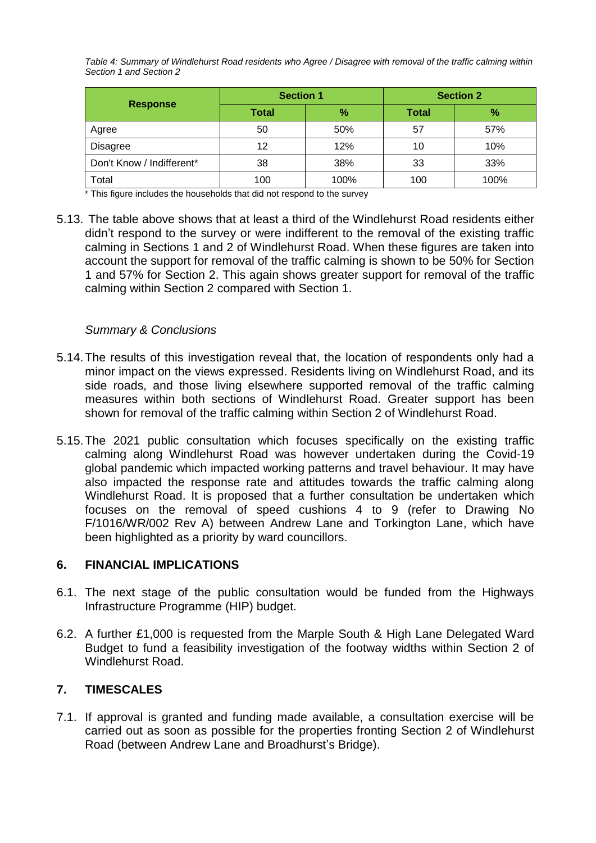*Table 4: Summary of Windlehurst Road residents who Agree / Disagree with removal of the traffic calming within Section 1 and Section 2*

| <b>Response</b>           | <b>Section 1</b> |      | <b>Section 2</b> |      |
|---------------------------|------------------|------|------------------|------|
|                           | Total            | %    | <b>Total</b>     | %    |
| Agree                     | 50               | 50%  | 57               | 57%  |
| <b>Disagree</b>           | 12               | 12%  | 10               | 10%  |
| Don't Know / Indifferent* | 38               | 38%  | 33               | 33%  |
| Total                     | 100              | 100% | 100              | 100% |

\* This figure includes the households that did not respond to the survey

5.13. The table above shows that at least a third of the Windlehurst Road residents either didn't respond to the survey or were indifferent to the removal of the existing traffic calming in Sections 1 and 2 of Windlehurst Road. When these figures are taken into account the support for removal of the traffic calming is shown to be 50% for Section 1 and 57% for Section 2. This again shows greater support for removal of the traffic calming within Section 2 compared with Section 1.

### *Summary & Conclusions*

- 5.14.The results of this investigation reveal that, the location of respondents only had a minor impact on the views expressed. Residents living on Windlehurst Road, and its side roads, and those living elsewhere supported removal of the traffic calming measures within both sections of Windlehurst Road. Greater support has been shown for removal of the traffic calming within Section 2 of Windlehurst Road.
- 5.15.The 2021 public consultation which focuses specifically on the existing traffic calming along Windlehurst Road was however undertaken during the Covid-19 global pandemic which impacted working patterns and travel behaviour. It may have also impacted the response rate and attitudes towards the traffic calming along Windlehurst Road. It is proposed that a further consultation be undertaken which focuses on the removal of speed cushions 4 to 9 (refer to Drawing No F/1016/WR/002 Rev A) between Andrew Lane and Torkington Lane, which have been highlighted as a priority by ward councillors.

### **6. FINANCIAL IMPLICATIONS**

- 6.1. The next stage of the public consultation would be funded from the Highways Infrastructure Programme (HIP) budget.
- 6.2. A further £1,000 is requested from the Marple South & High Lane Delegated Ward Budget to fund a feasibility investigation of the footway widths within Section 2 of Windlehurst Road.

# **7. TIMESCALES**

7.1. If approval is granted and funding made available, a consultation exercise will be carried out as soon as possible for the properties fronting Section 2 of Windlehurst Road (between Andrew Lane and Broadhurst's Bridge).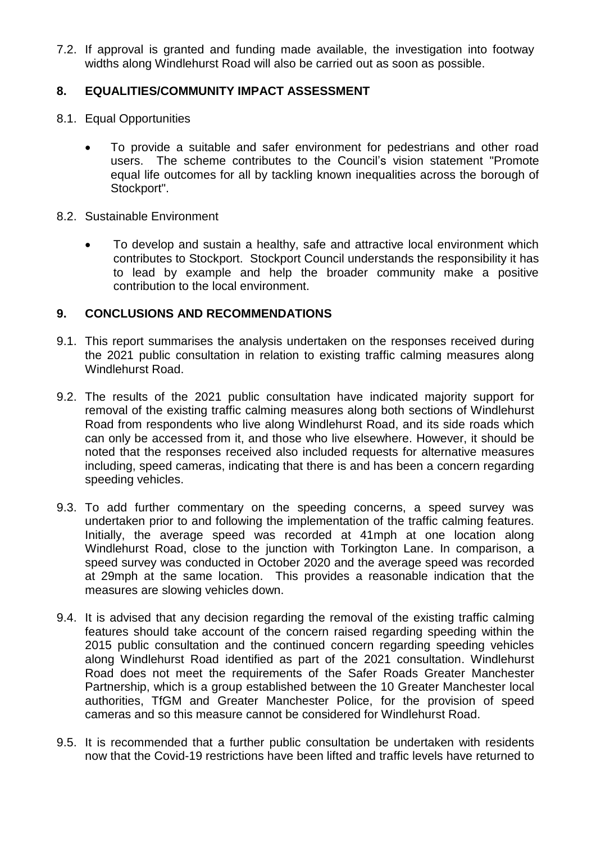7.2. If approval is granted and funding made available, the investigation into footway widths along Windlehurst Road will also be carried out as soon as possible.

### **8. EQUALITIES/COMMUNITY IMPACT ASSESSMENT**

- 8.1. Equal Opportunities
	- To provide a suitable and safer environment for pedestrians and other road users. The scheme contributes to the Council's vision statement "Promote equal life outcomes for all by tackling known inequalities across the borough of Stockport".
- 8.2. Sustainable Environment
	- To develop and sustain a healthy, safe and attractive local environment which contributes to Stockport. Stockport Council understands the responsibility it has to lead by example and help the broader community make a positive contribution to the local environment.

### **9. CONCLUSIONS AND RECOMMENDATIONS**

- 9.1. This report summarises the analysis undertaken on the responses received during the 2021 public consultation in relation to existing traffic calming measures along Windlehurst Road.
- 9.2. The results of the 2021 public consultation have indicated majority support for removal of the existing traffic calming measures along both sections of Windlehurst Road from respondents who live along Windlehurst Road, and its side roads which can only be accessed from it, and those who live elsewhere. However, it should be noted that the responses received also included requests for alternative measures including, speed cameras, indicating that there is and has been a concern regarding speeding vehicles.
- 9.3. To add further commentary on the speeding concerns, a speed survey was undertaken prior to and following the implementation of the traffic calming features. Initially, the average speed was recorded at 41mph at one location along Windlehurst Road, close to the junction with Torkington Lane. In comparison, a speed survey was conducted in October 2020 and the average speed was recorded at 29mph at the same location. This provides a reasonable indication that the measures are slowing vehicles down.
- 9.4. It is advised that any decision regarding the removal of the existing traffic calming features should take account of the concern raised regarding speeding within the 2015 public consultation and the continued concern regarding speeding vehicles along Windlehurst Road identified as part of the 2021 consultation. Windlehurst Road does not meet the requirements of the Safer Roads Greater Manchester Partnership, which is a group established between the 10 Greater Manchester local authorities, TfGM and Greater Manchester Police, for the provision of speed cameras and so this measure cannot be considered for Windlehurst Road.
- 9.5. It is recommended that a further public consultation be undertaken with residents now that the Covid-19 restrictions have been lifted and traffic levels have returned to